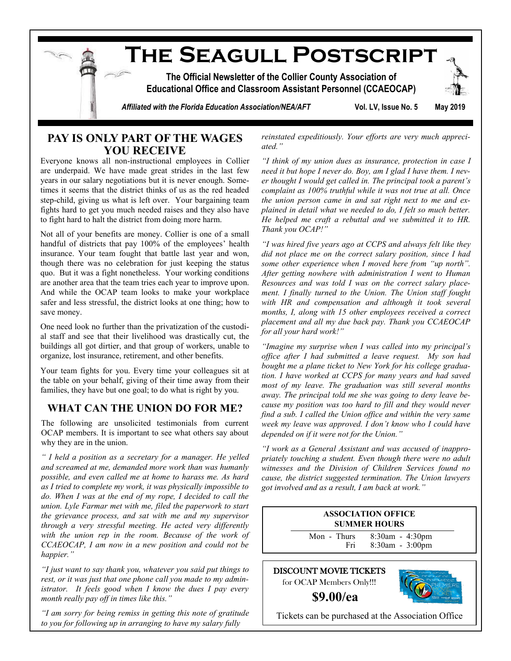

## **PAY IS ONLY PART OF THE WAGES YOU RECEIVE**

Everyone knows all non-instructional employees in Collier are underpaid. We have made great strides in the last few years in our salary negotiations but it is never enough. Sometimes it seems that the district thinks of us as the red headed step-child, giving us what is left over. Your bargaining team fights hard to get you much needed raises and they also have to fight hard to halt the district from doing more harm.

Not all of your benefits are money. Collier is one of a small handful of districts that pay 100% of the employees' health insurance. Your team fought that battle last year and won, though there was no celebration for just keeping the status quo. But it was a fight nonetheless. Your working conditions are another area that the team tries each year to improve upon. And while the OCAP team looks to make your workplace safer and less stressful, the district looks at one thing; how to save money.

One need look no further than the privatization of the custodial staff and see that their livelihood was drastically cut, the buildings all got dirtier, and that group of workers, unable to organize, lost insurance, retirement, and other benefits.

Your team fights for you. Every time your colleagues sit at the table on your behalf, giving of their time away from their families, they have but one goal; to do what is right by you.

## **WHAT CAN THE UNION DO FOR ME?**

The following are unsolicited testimonials from current OCAP members. It is important to see what others say about why they are in the union.

*" I held a position as a secretary for a manager. He yelled and screamed at me, demanded more work than was humanly possible, and even called me at home to harass me. As hard as I tried to complete my work, it was physically impossible to do. When I was at the end of my rope, I decided to call the union. Lyle Farmar met with me, filed the paperwork to start the grievance process, and sat with me and my supervisor through a very stressful meeting. He acted very differently with the union rep in the room. Because of the work of CCAEOCAP, I am now in a new position and could not be happier."* 

*"I just want to say thank you, whatever you said put things to rest, or it was just that one phone call you made to my administrator. It feels good when I know the dues I pay every month really pay off in times like this."*

*"I am sorry for being remiss in getting this note of gratitude to you for following up in arranging to have my salary fully* 

*reinstated expeditiously. Your efforts are very much appreciated."* 

*"I think of my union dues as insurance, protection in case I need it but hope I never do. Boy, am I glad I have them. I never thought I would get called in. The principal took a parent's complaint as 100% truthful while it was not true at all. Once the union person came in and sat right next to me and explained in detail what we needed to do, I felt so much better. He helped me craft a rebuttal and we submitted it to HR. Thank you OCAP!"*

*"I was hired five years ago at CCPS and always felt like they did not place me on the correct salary position, since I had some other experience when I moved here from "up north". After getting nowhere with administration I went to Human Resources and was told I was on the correct salary placement. I finally turned to the Union. The Union staff fought with HR and compensation and although it took several months, I, along with 15 other employees received a correct placement and all my due back pay. Thank you CCAEOCAP for all your hard work!"*

*"Imagine my surprise when I was called into my principal's office after I had submitted a leave request. My son had bought me a plane ticket to New York for his college graduation. I have worked at CCPS for many years and had saved most of my leave. The graduation was still several months away. The principal told me she was going to deny leave because my position was too hard to fill and they would never find a sub. I called the Union office and within the very same week my leave was approved. I don't know who I could have depended on if it were not for the Union."*

*"I work as a General Assistant and was accused of inappropriately touching a student. Even though there were no adult witnesses and the Division of Children Services found no cause, the district suggested termination. The Union lawyers got involved and as a result, I am back at work."*